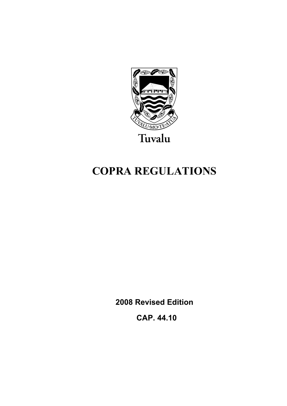

# **COPRA REGULATIONS**

**2008 Revised Edition** 

 **CAP. 44.10**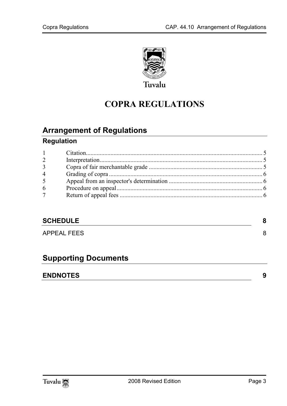

## **COPRA REGULATIONS**

## **Arrange[ment of Regulations](#page-4-1)**

## **Regulation**

| $1 \qquad \qquad$ |  |
|-------------------|--|
| $\overline{2}$    |  |
| 3 <sup>7</sup>    |  |
| $\overline{4}$    |  |
| 5 <sup>5</sup>    |  |
| 6                 |  |
| 7 <sup>7</sup>    |  |
|                   |  |

## **SCHEDULE** 8

APPEAL FEES 8

## **Supporting Documents**

## **ENDNOTES 9**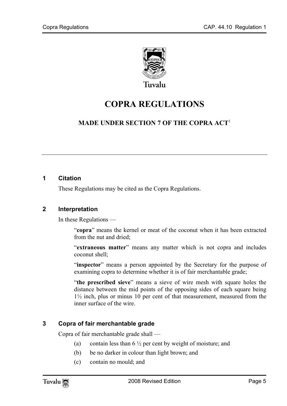

## **COPRA REGULATIONS**

## **MADE UNDER SECTION 7 OF THE COPRA ACT**<sup>1</sup>

#### **1 Citation**

<span id="page-4-0"></span>These Regulations may be cited as the Copra Regulations.

#### **2 Interpretation**

In these Regulations —

"**copra**" means the kernel or meat of the coconut when it has been extracted from the nut and dried;

"**extraneous matter**" means any matter which is not copra and includes coconut shell;

"**inspector**" means a person appointed by the Secretary for the purpose of examining copra to determine whether it is of fair merchantable grade;

<span id="page-4-1"></span>"**the prescribed sieve**" means a sieve of wire mesh with square holes the distance between the mid points of the opposing sides of each square being 1½ inch, plus or minus 10 per cent of that measurement, measured from the inner surface of the wire.

## **3 Copra of fair merchantable grade**

Copra of fair merchantable grade shall —

- (a) contain less than  $6\frac{1}{2}$  per cent by weight of moisture; and
- (b) be no darker in colour than light brown; and
- (c) contain no mould; and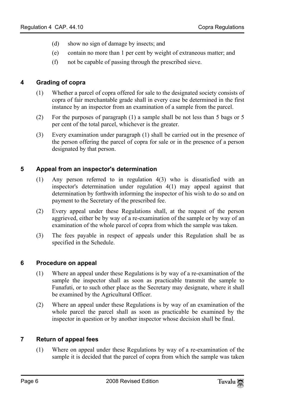- <span id="page-5-0"></span>(d) show no sign of damage by insects; and
- (e) contain no more than 1 per cent by weight of extraneous matter; and
- (f) not be capable of passing through the prescribed sieve.

#### **4 Grading of copra**

- (1) Whether a parcel of copra offered for sale to the designated society consists of copra of fair merchantable grade shall in every case be determined in the first instance by an inspector from an examination of a sample from the parcel.
- (2) For the purposes of paragraph (1) a sample shall be not less than 5 bags or 5 per cent of the total parcel, whichever is the greater.
- <span id="page-5-1"></span>(3) Every examination under paragraph (1) shall be carried out in the presence of the person offering the parcel of copra for sale or in the presence of a person designated by that person.

#### **5 Appeal from an inspector's determination**

- (1) Any person referred to in regulation 4(3) who is dissatisfied with an inspector's determination under regulation 4(1) may appeal against that determination by forthwith informing the inspector of his wish to do so and on payment to the Secretary of the prescribed fee.
- (2) Every appeal under these Regulations shall, at the request of the person aggrieved, either be by way of a re-examination of the sample or by way of an examination of the whole parcel of copra from which the sample was taken.
- <span id="page-5-2"></span>(3) The fees payable in respect of appeals under this Regulation shall be as specified in the Schedule.

#### **6 Procedure on appeal**

- (1) Where an appeal under these Regulations is by way of a re-examination of the sample the inspector shall as soon as practicable transmit the sample to Funafuti, or to such other place as the Secretary may designate, where it shall be examined by the Agricultural Officer.
- <span id="page-5-3"></span>(2) Where an appeal under these Regulations is by way of an examination of the whole parcel the parcel shall as soon as practicable be examined by the inspector in question or by another inspector whose decision shall be final.

#### **7 Return of appeal fees**

(1) Where on appeal under these Regulations by way of a re-examination of the sample it is decided that the parcel of copra from which the sample was taken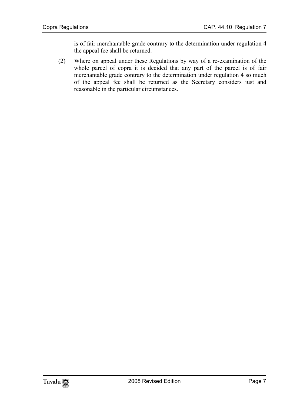is of fair merchantable grade contrary to the determination under regulation 4 the appeal fee shall be returned.

(2) Where on appeal under these Regulations by way of a re-examination of the whole parcel of copra it is decided that any part of the parcel is of fair merchantable grade contrary to the determination under regulation 4 so much of the appeal fee shall be returned as the Secretary considers just and reasonable in the particular circumstances.

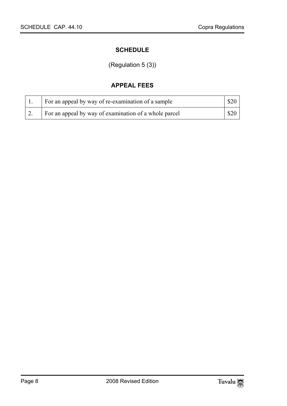## <span id="page-7-1"></span><span id="page-7-0"></span>**SCHEDULE**

## (Regulation 5 (3))

## **APPEAL FEES**

|    | For an appeal by way of re-examination of a sample    |      |
|----|-------------------------------------------------------|------|
| 2. | For an appeal by way of examination of a whole parcel | \$20 |